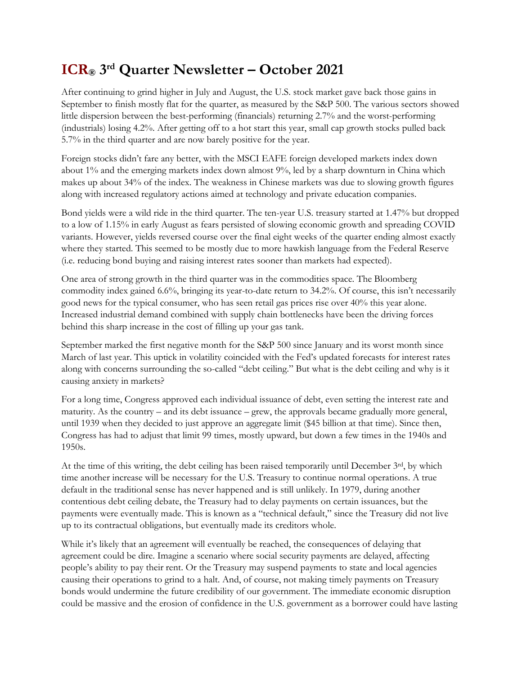## **ICR® 3 rd Quarter Newsletter – October 2021**

After continuing to grind higher in July and August, the U.S. stock market gave back those gains in September to finish mostly flat for the quarter, as measured by the S&P 500. The various sectors showed little dispersion between the best-performing (financials) returning 2.7% and the worst-performing (industrials) losing 4.2%. After getting off to a hot start this year, small cap growth stocks pulled back 5.7% in the third quarter and are now barely positive for the year.

Foreign stocks didn't fare any better, with the MSCI EAFE foreign developed markets index down about 1% and the emerging markets index down almost 9%, led by a sharp downturn in China which makes up about 34% of the index. The weakness in Chinese markets was due to slowing growth figures along with increased regulatory actions aimed at technology and private education companies.

Bond yields were a wild ride in the third quarter. The ten-year U.S. treasury started at 1.47% but dropped to a low of 1.15% in early August as fears persisted of slowing economic growth and spreading COVID variants. However, yields reversed course over the final eight weeks of the quarter ending almost exactly where they started. This seemed to be mostly due to more hawkish language from the Federal Reserve (i.e. reducing bond buying and raising interest rates sooner than markets had expected).

One area of strong growth in the third quarter was in the commodities space. The Bloomberg commodity index gained 6.6%, bringing its year-to-date return to 34.2%. Of course, this isn't necessarily good news for the typical consumer, who has seen retail gas prices rise over 40% this year alone. Increased industrial demand combined with supply chain bottlenecks have been the driving forces behind this sharp increase in the cost of filling up your gas tank.

September marked the first negative month for the S&P 500 since January and its worst month since March of last year. This uptick in volatility coincided with the Fed's updated forecasts for interest rates along with concerns surrounding the so-called "debt ceiling." But what is the debt ceiling and why is it causing anxiety in markets?

For a long time, Congress approved each individual issuance of debt, even setting the interest rate and maturity. As the country – and its debt issuance – grew, the approvals became gradually more general, until 1939 when they decided to just approve an aggregate limit (\$45 billion at that time). Since then, Congress has had to adjust that limit 99 times, mostly upward, but down a few times in the 1940s and 1950s.

At the time of this writing, the debt ceiling has been raised temporarily until December 3rd, by which time another increase will be necessary for the U.S. Treasury to continue normal operations. A true default in the traditional sense has never happened and is still unlikely. In 1979, during another contentious debt ceiling debate, the Treasury had to delay payments on certain issuances, but the payments were eventually made. This is known as a "technical default," since the Treasury did not live up to its contractual obligations, but eventually made its creditors whole.

While it's likely that an agreement will eventually be reached, the consequences of delaying that agreement could be dire. Imagine a scenario where social security payments are delayed, affecting people's ability to pay their rent. Or the Treasury may suspend payments to state and local agencies causing their operations to grind to a halt. And, of course, not making timely payments on Treasury bonds would undermine the future credibility of our government. The immediate economic disruption could be massive and the erosion of confidence in the U.S. government as a borrower could have lasting